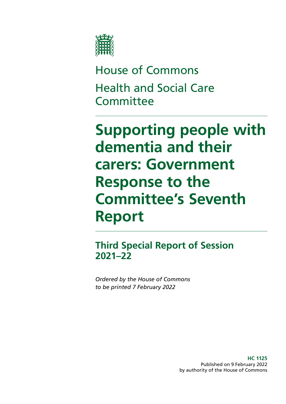

House of Commons Health and Social Care **Committee** 

**Supporting people with dementia and their carers: Government Response to the Committee's Seventh Report**

**Third Special Report of Session 2021–22**

*Ordered by the House of Commons to be printed 7 February 2022*

> **HC 1125** Published on 9 February 2022 by authority of the House of Commons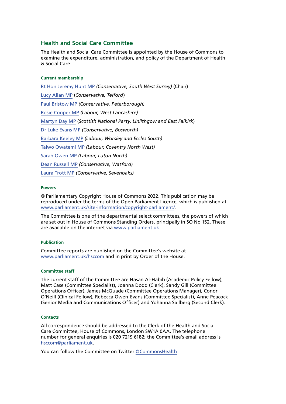# **Health and Social Care Committee**

The Health and Social Care Committee is appointed by the House of Commons to examine the expenditure, administration, and policy of the Department of Health & Social Care.

#### **Current membership**

[Rt Hon Jeremy Hunt MP](https://members.parliament.uk/member/1572/contact) *(Conservative, South West Surrey)* (Chair) [Lucy Allan MP](https://members.parliament.uk/member/4411/contact) (*Conservative, Telford*) [Paul Bristow MP](https://members.parliament.uk/member/4792/contact) *(Conservative, Peterborough)* [Rosie Cooper MP](https://members.parliament.uk/member/1538/contact) *(Labour, West Lancashire)* [Martyn Day MP](https://members.parliament.uk/member/4488/contact) (*Scottish National Party, Linlithgow and East Falkirk*) [Dr Luke Evans MP](https://members.parliament.uk/member/4781/contact) *(Conservative, Bosworth)* [Barbara Keeley MP](https://members.parliament.uk/member/1588/contact) *(Labour, Worsley and Eccles South)* [Taiwo Owatemi MP](https://members.parliament.uk/member/4779/contact) *(Labour, Coventry North West)* [Sarah Owen MP](https://members.parliament.uk/member/4777/contact) *(Labour, Luton North)* [Dean Russell MP](https://members.parliament.uk/member/4812/contact) *(Conservative, Watford)* [Laura Trott MP](https://members.parliament.uk/member/4780/contact) *(Conservative, Sevenoaks)*

#### **Powers**

© Parliamentary Copyright House of Commons 2022. This publication may be reproduced under the terms of the Open Parliament Licence, which is published at [www.parliament.uk/site-information/copyright-parliament/](https://www.parliament.uk/site-information/copyright-parliament/).

The Committee is one of the departmental select committees, the powers of which are set out in House of Commons Standing Orders, principally in SO No 152. These are available on the internet via [www.parliament.uk.](http://www.parliament.uk/)

#### **Publication**

Committee reports are published on the Committee's website at [www.parliament.uk/hsccom](http://www.parliament.uk/hsccom) and in print by Order of the House.

#### **Committee staff**

The current staff of the Committee are Hasan Al-Habib (Academic Policy Fellow), Matt Case (Committee Specialist), Joanna Dodd (Clerk), Sandy Gill (Committee Operations Officer), James McQuade (Committee Operations Manager), Conor O'Neill (Clinical Fellow), Rebecca Owen-Evans (Committee Specialist), Anne Peacock (Senior Media and Communications Officer) and Yohanna Sallberg (Second Clerk).

#### **Contacts**

All correspondence should be addressed to the Clerk of the Health and Social Care Committee, House of Commons, London SW1A 0AA. The telephone number for general enquiries is 020 7219 6182; the Committee's email address is [hsccom@parliament.uk](mailto:hsccom%40parliament.uk?subject=).

You can follow the Committee on Twitter [@CommonsHealth](https://twitter.com/CommonsHealth)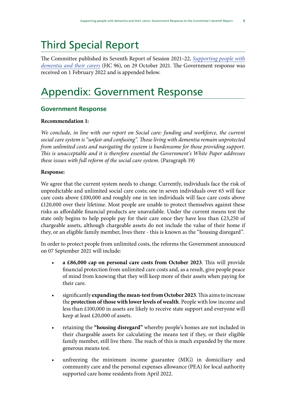The Committee published its Seventh Report of Session 2021–22, *[Supporting people with](https://committees.parliament.uk/publications/7662/documents/79983/default/) [dementia and their carers](https://committees.parliament.uk/publications/7662/documents/79983/default/)* (HC 96), on 29 October 2021. The Government response was received on 1 February 2022 and is appended below.

# Appendix: Government Response

# **Government Response**

## **Recommendation 1:**

*We conclude, in line with our report on Social care: funding and workforce, the current social care system is "unfair and confusing". Those living with dementia remain unprotected from unlimited costs and navigating the system is burdensome for those providing support. This is unacceptable and it is therefore essential the Government's White Paper addresses these issues with full reform of the social care system*. (Paragraph 19)

## **Response:**

We agree that the current system needs to change. Currently, individuals face the risk of unpredictable and unlimited social care costs; one in seven individuals over 65 will face care costs above £100,000 and roughly one in ten individuals will face care costs above £120,000 over their lifetime. Most people are unable to protect themselves against these risks as affordable financial products are unavailable. Under the current means test the state only begins to help people pay for their care once they have less than £23,250 of chargeable assets, although chargeable assets do not include the value of their home if they, or an eligible family member, lives there - this is known as the "housing disregard".

In order to protect people from unlimited costs, the reforms the Government announced on 07 September 2021 will include:

- **a £86,000 cap on personal care costs from October 2023**. This will provide financial protection from unlimited care costs and, as a result, give people peace of mind from knowing that they will keep more of their assets when paying for their care.
- significantly **expanding the mean-test from October 2023**. This aims to increase the **protection of those with lower levels of wealth**. People with low income and less than £100,000 in assets are likely to receive state support and everyone will keep at least £20,000 of assets.
- retaining the **"housing disregard"** whereby people's homes are not included in their chargeable assets for calculating the means test if they, or their eligible family member, still live there. The reach of this is much expanded by the more generous means test.
- unfreezing the minimum income guarantee (MIG) in domiciliary and community care and the personal expenses allowance (PEA) for local authority supported care home residents from April 2022.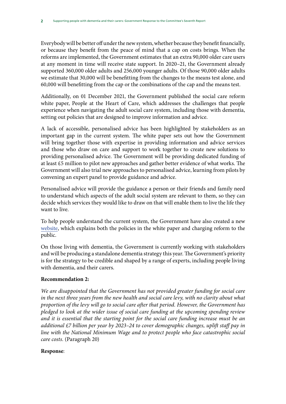Everybody will be better off under the new system, whether because they benefit financially, or because they benefit from the peace of mind that a cap on costs brings. When the reforms are implemented, the Government estimates that an extra 90,000 older care users at any moment in time will receive state support. In 2020–21, the Government already supported 360,000 older adults and 256,000 younger adults. Of those 90,000 older adults we estimate that 30,000 will be benefitting from the changes to the means test alone, and 60,000 will benefitting from the cap or the combinations of the cap and the means test.

Additionally, on 01 December 2021, the Government published the social care reform white paper, People at the Heart of Care, which addresses the challenges that people experience when navigating the adult social care system, including those with dementia, setting out policies that are designed to improve information and advice.

A lack of accessible, personalised advice has been highlighted by stakeholders as an important gap in the current system. The white paper sets out how the Government will bring together those with expertise in providing information and advice services and those who draw on care and support to work together to create new solutions to providing personalised advice. The Government will be providing dedicated funding of at least £5 million to pilot new approaches and gather better evidence of what works. The Government will also trial new approaches to personalised advice, learning from pilots by convening an expert panel to provide guidance and advice.

Personalised advice will provide the guidance a person or their friends and family need to understand which aspects of the adult social system are relevant to them, so they can decide which services they would like to draw on that will enable them to live the life they want to live.

To help people understand the current system, the Government have also created a new [website](https://engage.dhsc.gov.uk/social-care-reform/), which explains both the policies in the white paper and charging reform to the public.

On those living with dementia, the Government is currently working with stakeholders and will be producing a standalone dementia strategy this year. The Government's priority is for the strategy to be credible and shaped by a range of experts, including people living with dementia, and their carers.

## **Recommendation 2:**

*We are disappointed that the Government has not provided greater funding for social care*  in the next three years from the new health and social care levy, with no clarity about what *proportion of the levy will go to social care after that period. However, the Government has pledged to look at the wider issue of social care funding at the upcoming spending review and it is essential that the starting point for the social care funding increase must be an additional £7 billion per year by 2023–24 to cover demographic changes, uplift staff pay in line with the National Minimum Wage and to protect people who face catastrophic social care costs.* (Paragraph 20)

#### **Response**: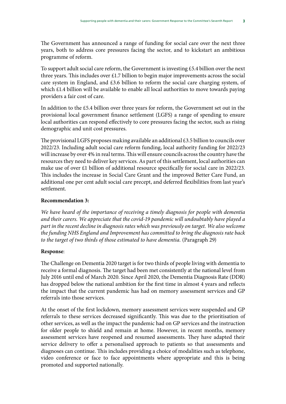years, both to address core pressures facing the sector, and to kickstart an ambitious programme of reform.

To support adult social care reform, the Government is investing £5.4 billion over the next three years. This includes over £1.7 billion to begin major improvements across the social care system in England, and £3.6 billion to reform the social care charging system, of which £1.4 billion will be available to enable all local authorities to move towards paying providers a fair cost of care.

In addition to the £5.4 billion over three years for reform, the Government set out in the provisional local government finance settlement (LGFS) a range of spending to ensure local authorities can respond effectively to core pressures facing the sector, such as rising demographic and unit cost pressures.

The provisional LGFS proposes making available an additional  $\pounds$ 3.5 billion to councils over 2022/23. Including adult social care reform funding, local authority funding for 2022/23 will increase by over 4% in real terms. This will ensure councils across the country have the resources they need to deliver key services. As part of this settlement, local authorities can make use of over £1 billion of additional resource specifically for social care in 2022/23. This includes the increase in Social Care Grant and the improved Better Care Fund, an additional one per cent adult social care precept, and deferred flexibilities from last year's settlement.

## **Recommendation 3:**

*We have heard of the importance of receiving a timely diagnosis for people with dementia and their carers. We appreciate that the covid-19 pandemic will undoubtably have played a part in the recent decline in diagnosis rates which was previously on target. We also welcome the funding NHS England and Improvement has committed to bring the diagnosis rate back*  to the target of two thirds of those estimated to have dementia. (Paragraph 29)

## **Response**:

The Challenge on Dementia 2020 target is for two thirds of people living with dementia to receive a formal diagnosis. The target had been met consistently at the national level from July 2016 until end of March 2020. Since April 2020, the Dementia Diagnosis Rate (DDR) has dropped below the national ambition for the first time in almost 4 years and reflects the impact that the current pandemic has had on memory assessment services and GP referrals into those services.

At the onset of the first lockdown, memory assessment services were suspended and GP referrals to these services decreased significantly. This was due to the prioritisation of other services, as well as the impact the pandemic had on GP services and the instruction for older people to shield and remain at home. However, in recent months, memory assessment services have reopened and resumed assessments. They have adapted their service delivery to offer a personalised approach to patients so that assessments and diagnoses can continue. This includes providing a choice of modalities such as telephone, video conference or face to face appointments where appropriate and this is being promoted and supported nationally.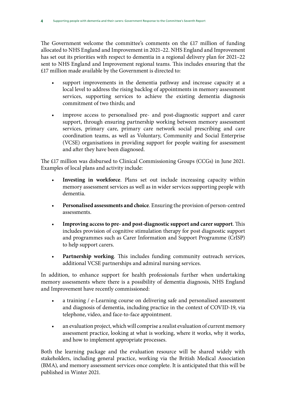The Government welcome the committee's comments on the £17 million of funding allocated to NHS England and Improvement in 2021–22. NHS England and Improvement has set out its priorities with respect to dementia in a regional delivery plan for 2021–22 sent to NHS England and Improvement regional teams. This includes ensuring that the £17 million made available by the Government is directed to:

- support improvements in the dementia pathway and increase capacity at a local level to address the rising backlog of appointments in memory assessment services, supporting services to achieve the existing dementia diagnosis commitment of two thirds; and
- improve access to personalised pre- and post-diagnostic support and carer support, through ensuring partnership working between memory assessment services, primary care, primary care network social prescribing and care coordination teams, as well as Voluntary, Community and Social Enterprise (VCSE) organisations in providing support for people waiting for assessment and after they have been diagnosed.

The £17 million was disbursed to Clinical Commissioning Groups (CCGs) in June 2021. Examples of local plans and activity include:

- **Investing in workforce**. Plans set out include increasing capacity within memory assessment services as well as in wider services supporting people with dementia.
- **Personalised assessments and choice**. Ensuring the provision of person-centred assessments.
- **Improving access to pre- and post-diagnostic support and carer support**. This includes provision of cognitive stimulation therapy for post diagnostic support and programmes such as Carer Information and Support Programme (CrISP) to help support carers.
- Partnership working. This includes funding community outreach services, additional VCSE partnerships and admiral nursing services.

In addition, to enhance support for health professionals further when undertaking memory assessments where there is a possibility of dementia diagnosis, NHS England and Improvement have recently commissioned:

- a training / e-Learning course on delivering safe and personalised assessment and diagnosis of dementia, including practice in the context of COVID-19, via telephone, video, and face-to-face appointment.
- an evaluation project, which will comprise a realist evaluation of current memory assessment practice, looking at what is working, where it works, why it works, and how to implement appropriate processes.

Both the learning package and the evaluation resource will be shared widely with stakeholders, including general practice, working via the British Medical Association (BMA), and memory assessment services once complete. It is anticipated that this will be published in Winter 2021.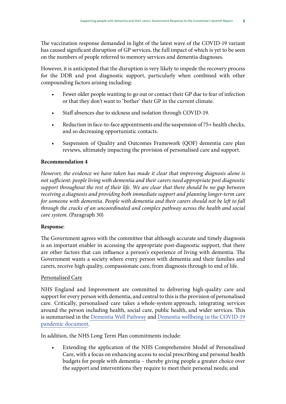The vaccination response demanded in light of the latest wave of the COVID-19 variant has caused significant disruption of GP services, the full impact of which is yet to be seen on the numbers of people referred to memory services and dementia diagnoses.

However, it is anticipated that the disruption is very likely to impede the recovery process for the DDR and post diagnostic support, particularly when combined with other compounding factors arising including:

- Fewer older people wanting to go out or contact their GP due to fear of infection or that they don't want to 'bother' their GP in the current climate.
- Staff absences due to sickness and isolation through COVID-19.
- Reduction in face-to-face appointments and the suspension of 75+ health checks, and so decreasing opportunistic contacts.
- Suspension of Quality and Outcomes Framework (QOF) dementia care plan reviews, ultimately impacting the provision of personalised care and support.

## **Recommendation 4**

*However, the evidence we have taken has made it clear that improving diagnosis alone is not sufficient: people living with dementia and their carers need appropriate post diagnostic support throughout the rest of their life. We are clear that there should be no gap between receiving a diagnosis and providing both immediate support and planning longer-term care for someone with dementia. People with dementia and their carers should not be left to fall through the cracks of an uncoordinated and complex pathway across the health and social care system*. (Paragraph 30)

## **Response**:

The Government agrees with the committee that although accurate and timely diagnosis is an important enabler in accessing the appropriate post-diagnostic support, that there are other factors that can influence a person's experience of living with dementia. The Government wants a society where every person with dementia and their families and carers, receive high quality, compassionate care, from diagnosis through to end of life.

#### Personalised Care

NHS England and Improvement are committed to delivering high-quality care and support for every person with dementia, and central to this is the provision of personalised care. Critically, personalised care takes a whole-system approach, integrating services around the person including health, social care, public health, and wider services. This is summarised in the [Dementia Well Pathway](https://www.england.nhs.uk/mentalhealth/wp-content/uploads/sites/29/2016/03/dementia-well-pathway.pdf) and [Dementia wellbeing in the COVID-19](https://www.england.nhs.uk/wp-content/uploads/2020/09/C1280_Dementia-wellbeing-in-the-COVID-pandemic-v3.pdf) [pandemic](https://www.england.nhs.uk/wp-content/uploads/2020/09/C1280_Dementia-wellbeing-in-the-COVID-pandemic-v3.pdf) document.

In addition, the NHS Long Term Plan commitments include:

Extending the application of the NHS Comprehensive Model of Personalised Care, with a focus on enhancing access to social prescribing and personal health budgets for people with dementia – thereby giving people a greater choice over the support and interventions they require to meet their personal needs; and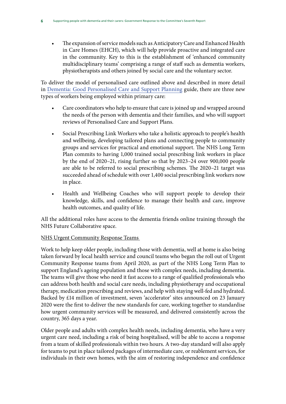• The expansion of service models such as Anticipatory Care and Enhanced Health in Care Homes (EHCH), which will help provide proactive and integrated care in the community. Key to this is the establishment of 'enhanced community multidisciplinary teams' comprising a range of staff such as dementia workers, physiotherapists and others joined by social care and the voluntary sector.

To deliver the model of personalised care outlined above and described in more detail in [Dementia: Good Personalised Care and Support Planning](https://www.england.nhs.uk/publication/dementia-good-care-planning-information-for-primary-care-and-commissioners/) guide, there are three new types of workers being employed within primary care:

- Care coordinators who help to ensure that care is joined up and wrapped around the needs of the person with dementia and their families, and who will support reviews of Personalised Care and Support Plans.
- Social Prescribing Link Workers who take a holistic approach to people's health and wellbeing, developing tailored plans and connecting people to community groups and services for practical and emotional support. The NHS Long Term Plan commits to having 1,000 trained social prescribing link workers in place by the end of 2020–21, rising further so that by 2023–24 over 900,000 people are able to be referred to social prescribing schemes. The 2020–21 target was succeeded ahead of schedule with over 1,400 social prescribing link workers now in place.
- Health and Wellbeing Coaches who will support people to develop their knowledge, skills, and confidence to manage their health and care, improve health outcomes, and quality of life.

All the additional roles have access to the dementia friends online training through the NHS Future Collaborative space.

# NHS Urgent Community Response Teams

Work to help keep older people, including those with dementia, well at home is also being taken forward by local health service and council teams who began the roll out of Urgent Community Response teams from April 2020, as part of the NHS Long Term Plan to support England's ageing population and those with complex needs, including dementia. The teams will give those who need it fast access to a range of qualified professionals who can address both health and social care needs, including physiotherapy and occupational therapy, medication prescribing and reviews, and help with staying well-fed and hydrated. Backed by £14 million of investment, seven 'accelerator' sites announced on 23 January 2020 were the first to deliver the new standards for care, working together to standardise how urgent community services will be measured, and delivered consistently across the country, 365 days a year.

Older people and adults with complex health needs, including dementia, who have a very urgent care need, including a risk of being hospitalised, will be able to access a response from a team of skilled professionals within two hours. A two-day standard will also apply for teams to put in place tailored packages of intermediate care, or reablement services, for individuals in their own homes, with the aim of restoring independence and confidence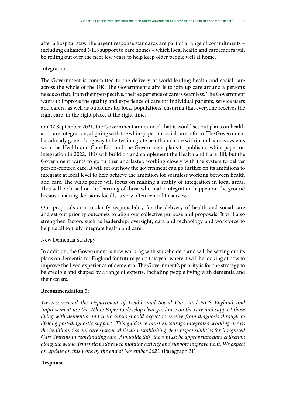after a hospital stay. The urgent response standards are part of a range of commitments – including enhanced NHS support to care homes – which local health and care leaders will be rolling out over the next few years to help keep older people well at home.

#### **Integration**

The Government is committed to the delivery of world-leading health and social care across the whole of the UK. The Government's aim is to join up care around a person's needs so that, from their perspective, their experience of care is seamless. The Government wants to improve the quality and experience of care for individual patients, service users and carers, as well as outcomes for local populations, ensuring that everyone receives the right care, in the right place, at the right time.

On 07 September 2021, the Government announced that it would set out plans on health and care integration, aligning with the white paper on social care reform. The Government has already gone a long way to better integrate health and care within and across systems with the Health and Care Bill, and the Government plans to publish a white paper on integration in 2022. This will build on and complement the Health and Care Bill, but the Government wants to go further and faster, working closely with the system to deliver person-centred care. It will set out how the government can go further on its ambitions to integrate at local level to help achieve the ambition for seamless working between health and care. The white paper will focus on making a reality of integration in local areas. This will be based on the learning of those who make integration happen on the ground because making decisions locally is very often central to success.

Our proposals aim to clarify responsibility for the delivery of health and social care and set out priority outcomes to align our collective purpose and proposals. It will also strengthen factors such as leadership, oversight, data and technology and workforce to help us all to truly integrate health and care.

#### New Dementia Strategy

In addition, the Government is now working with stakeholders and will be setting out its plans on dementia for England for future years this year where it will be looking at how to improve the lived experience of dementia. The Government's priority is for the strategy to be credible and shaped by a range of experts, including people living with dementia and their carers.

#### **Recommendation 5:**

*We recommend the Department of Health and Social Care and NHS England and Improvement use the White Paper to develop clear guidance on the care and support those living with dementia and their carers should expect to receive from diagnosis through to lifelong post-diagnostic support. This guidance must encourage integrated working across the health and social care system while also establishing clear responsibilities for Integrated Care Systems in coordinating care. Alongside this, there must be appropriate data collection along the whole dementia pathway to monitor activity and support improvement. We expect an update on this work by the end of November 2021*. (Paragraph 31)

#### **Response:**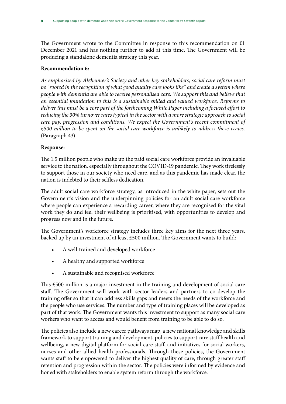The Government wrote to the Committee in response to this recommendation on 01 December 2021 and has nothing further to add at this time. The Government will be producing a standalone dementia strategy this year.

## **Recommendation 6:**

*As emphasised by Alzheimer's Society and other key stakeholders, social care reform must be "rooted in the recognition of what good quality care looks like" and create a system where people with dementia are able to receive personalised care. We support this and believe that an essential foundation to this is a sustainable skilled and valued workforce. Reforms to deliver this must be a core part of the forthcoming White Paper including a focused effort to reducing the 30% turnover rates typical in the sector with a more strategic approach to social care pay, progression and conditions. We expect the Government's recent commitment of £500 million to be spent on the social care workforce is unlikely to address these issues.* (Paragraph 43)

# **Response:**

The 1.5 million people who make up the paid social care workforce provide an invaluable service to the nation, especially throughout the COVID-19 pandemic. They work tirelessly to support those in our society who need care, and as this pandemic has made clear, the nation is indebted to their selfless dedication.

The adult social care workforce strategy, as introduced in the white paper, sets out the Government's vision and the underpinning policies for an adult social care workforce where people can experience a rewarding career, where they are recognised for the vital work they do and feel their wellbeing is prioritised, with opportunities to develop and progress now and in the future.

The Government's workforce strategy includes three key aims for the next three years, backed up by an investment of at least £500 million. The Government wants to build:

- A well-trained and developed workforce
- A healthy and supported workforce
- A sustainable and recognised workforce

This £500 million is a major investment in the training and development of social care staff. The Government will work with sector leaders and partners to co-develop the training offer so that it can address skills gaps and meets the needs of the workforce and the people who use services. The number and type of training places will be developed as part of that work. The Government wants this investment to support as many social care workers who want to access and would benefit from training to be able to do so.

The policies also include a new career pathways map, a new national knowledge and skills framework to support training and development, policies to support care staff health and wellbeing, a new digital platform for social care staff, and initiatives for social workers, nurses and other allied health professionals. Through these policies, the Government wants staff to be empowered to deliver the highest quality of care, through greater staff retention and progression within the sector. The policies were informed by evidence and honed with stakeholders to enable system reform through the workforce.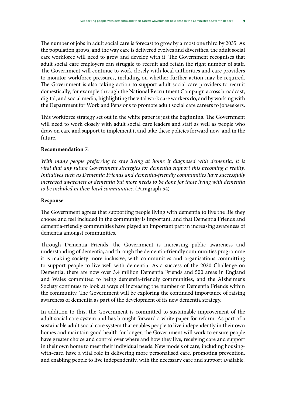The number of jobs in adult social care is forecast to grow by almost one third by 2035. As the population grows, and the way care is delivered evolves and diversifies, the adult social care workforce will need to grow and develop with it. The Government recognises that adult social care employers can struggle to recruit and retain the right number of staff. The Government will continue to work closely with local authorities and care providers to monitor workforce pressures, including on whether further action may be required. The Government is also taking action to support adult social care providers to recruit domestically, for example through the National Recruitment Campaign across broadcast, digital, and social media, highlighting the vital work care workers do, and by working with the Department for Work and Pensions to promote adult social care careers to jobseekers.

This workforce strategy set out in the white paper is just the beginning. The Government will need to work closely with adult social care leaders and staff as well as people who draw on care and support to implement it and take these policies forward now, and in the future.

## **Recommendation 7:**

With many people preferring to stay living at home if diagnosed with dementia, it is *vital that any future Government strategies for dementia support this becoming a reality. Initiatives such as Dementia Friends and dementia-friendly communities have successfully increased awareness of dementia but more needs to be done for those living with dementia to be included in their local communities*. (Paragraph 54)

## **Response**:

The Government agrees that supporting people living with dementia to live the life they choose and feel included in the community is important, and that Dementia Friends and dementia-friendly communities have played an important part in increasing awareness of dementia amongst communities.

Through Dementia Friends, the Government is increasing public awareness and understanding of dementia, and through the dementia-friendly communities programme it is making society more inclusive, with communities and organisations committing to support people to live well with dementia. As a success of the 2020 Challenge on Dementia, there are now over 3.4 million Dementia Friends and 500 areas in England and Wales committed to being dementia-friendly communities, and the Alzheimer's Society continues to look at ways of increasing the number of Dementia Friends within the community. The Government will be exploring the continued importance of raising awareness of dementia as part of the development of its new dementia strategy.

In addition to this, the Government is committed to sustainable improvement of the adult social care system and has brought forward a white paper for reform. As part of a sustainable adult social care system that enables people to live independently in their own homes and maintain good health for longer, the Government will work to ensure people have greater choice and control over where and how they live, receiving care and support in their own home to meet their individual needs. New models of care, including housingwith-care, have a vital role in delivering more personalised care, promoting prevention, and enabling people to live independently, with the necessary care and support available.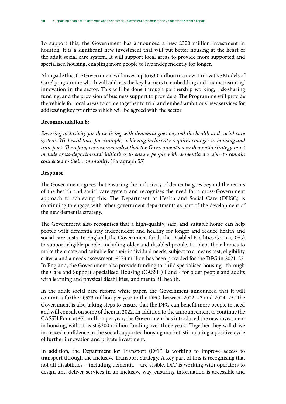To support this, the Government has announced a new £300 million investment in housing. It is a significant new investment that will put better housing at the heart of the adult social care system. It will support local areas to provide more supported and specialised housing, enabling more people to live independently for longer.

Alongside this, the Government will invest up to £30 million in a new 'Innovative Models of Care' programme which will address the key barriers to embedding and 'mainstreaming' innovation in the sector. This will be done through partnership working, risk-sharing funding, and the provision of business support to providers. The Programme will provide the vehicle for local areas to come together to trial and embed ambitious new services for addressing key priorities which will be agreed with the sector.

## **Recommendation 8:**

*Ensuring inclusivity for those living with dementia goes beyond the health and social care system. We heard that, for example, achieving inclusivity requires changes to housing and transport. Therefore, we recommended that the Government's new dementia strategy must include cross-departmental initiatives to ensure people with dementia are able to remain connected to their community*. (Paragraph 55)

## **Response**:

The Government agrees that ensuring the inclusivity of dementia goes beyond the remits of the health and social care system and recognises the need for a cross-Government approach to achieving this. The Department of Health and Social Care (DHSC) is continuing to engage with other government departments as part of the development of the new dementia strategy.

The Government also recognises that a high-quality, safe, and suitable home can help people with dementia stay independent and healthy for longer and reduce health and social care costs. In England, the Government funds the Disabled Facilities Grant (DFG) to support eligible people, including older and disabled people, to adapt their homes to make them safe and suitable for their individual needs, subject to a means test, eligibility criteria and a needs assessment. £573 million has been provided for the DFG in 2021–22. In England, the Government also provide funding to build specialised housing - through the Care and Support Specialised Housing (CASSH) Fund - for older people and adults with learning and physical disabilities, and mental ill health.

In the adult social care reform white paper, the Government announced that it will commit a further £573 million per year to the DFG, between 2022–23 and 2024–25. The Government is also taking steps to ensure that the DFG can benefit more people in need and will consult on some of them in 2022. In addition to the announcement to continue the CASSH Fund at £71 million per year, the Government has introduced the new investment in housing, with at least  $£300$  million funding over three years. Together they will drive increased confidence in the social supported housing market, stimulating a positive cycle of further innovation and private investment.

In addition, the Department for Transport (DfT) is working to improve access to transport through the Inclusive Transport Strategy. A key part of this is recognising that not all disabilities – including dementia – are visible. DfT is working with operators to design and deliver services in an inclusive way, ensuring information is accessible and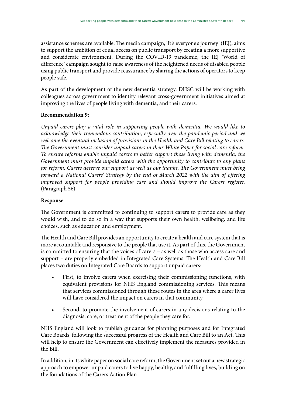assistance schemes are available. The media campaign, 'It's everyone's journey' (IEJ), aims to support the ambition of equal access on public transport by creating a more supportive and considerate environment. During the COVID-19 pandemic, the IEJ 'World of difference' campaign sought to raise awareness of the heightened needs of disabled people using public transport and provide reassurance by sharing the actions of operators to keep people safe.

As part of the development of the new dementia strategy, DHSC will be working with colleagues across government to identify relevant cross-government initiatives aimed at improving the lives of people living with dementia, and their carers.

# **Recommendation 9:**

*Unpaid carers play a vital role in supporting people with dementia. We would like to acknowledge their tremendous contribution, especially over the pandemic period and we welcome the eventual inclusion of provisions in the Health and Care Bill relating to carers. The Government must consider unpaid carers in their White Paper for social care reform. To ensure reforms enable unpaid carers to better support those living with dementia, the Government must provide unpaid carers with the opportunity to contribute to any plans for reform. Carers deserve our support as well as our thanks. The Government must bring forward a National Carers' Strategy by the end of March 2022 with the aim of offering improved support for people providing care and should improve the Carers register.* (Paragraph 56)

## **Response**:

The Government is committed to continuing to support carers to provide care as they would wish, and to do so in a way that supports their own health, wellbeing, and life choices, such as education and employment.

The Health and Care Bill provides an opportunity to create a health and care system that is more accountable and responsive to the people that use it. As part of this, the Government is committed to ensuring that the voices of carers – as well as those who access care and support – are properly embedded in Integrated Care Systems. The Health and Care Bill places two duties on Integrated Care Boards to support unpaid carers:

- First, to involve carers when exercising their commissioning functions, with equivalent provisions for NHS England commissioning services. This means that services commissioned through these routes in the area where a carer lives will have considered the impact on carers in that community.
- Second, to promote the involvement of carers in any decisions relating to the diagnosis, care, or treatment of the people they care for.

NHS England will look to publish guidance for planning purposes and for Integrated Care Boards, following the successful progress of the Health and Care Bill to an Act. This will help to ensure the Government can effectively implement the measures provided in the Bill.

In addition, in its white paper on social care reform, the Government set out a new strategic approach to empower unpaid carers to live happy, healthy, and fulfilling lives, building on the foundations of the Carers Action Plan.